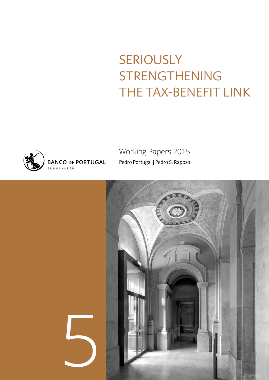## SERIOUSLY STRENGTHENING THE TAX-BENEFIT LINK



Working Papers 2015 Pedro Portugal | Pedro S. Raposo

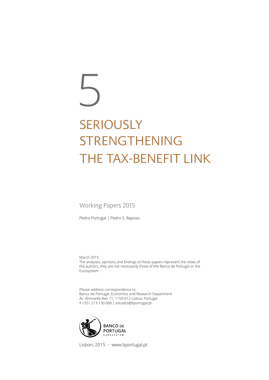# SERIOUSLY STRENGTHENING THE TAX-BENEFIT LINK 5

Working Papers 2015

Pedro Portugal | Pedro S. Raposo

March 2015 The analyses, opinions and findings of these papers represent the views of the authors, they are not necessarily those of the Banco de Portugal or the Eurosystem

Please address correspondence to Banco de Portugal, Economics and Research Department Av. Almirante Reis 71, 1150-012 Lisboa, Portugal T +351 213 130 000 | estudos@bportugal.pt



Lisbon, 2015 • www.bportugal.pt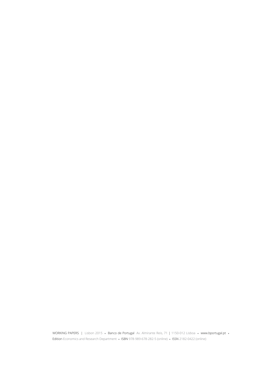WORKING PAPERS | Lisbon 2015 **•** Banco de Portugal Av. Almirante Reis, 71 | 1150-012 Lisboa **•** www.bportugal.pt **•**  Edition Economics and Research Department **•** ISBN 978-989-678-282-5 (online) **•** ISSN 2182-0422 (online)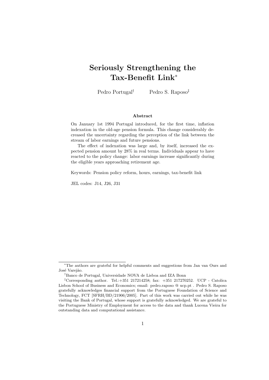## Seriously Strengthening the Tax-Benefit Link<sup>∗</sup>

Pedro Portugal<sup>†</sup> Pedro S. Raposo<sup>‡</sup>

#### Abstract

On January 1st 1994 Portugal introduced, for the first time, inflation indexation in the old-age pension formula. This change considerably decreased the uncertainty regarding the perception of the link between the stream of labor earnings and future pensions.

The effect of indexation was large and, by itself, increased the expected pension amount by 28% in real terms. Individuals appear to have reacted to the policy change: labor earnings increase significantly during the eligible years approaching retirement age.

Keywords: Pension policy reform, hours, earnings, tax-benefit link

JEL codes: J14, J26, J31

<sup>∗</sup>The authors are grateful for helpful comments and suggestions from Jan van Ours and José Varejão.

<sup>†</sup>Banco de Portugal, Universidade NOVA de Lisboa and IZA Bonn

<sup>‡</sup>Corresponding author. Tel.:+351 217214258; fax: +351 217270252. UCP - Catolica Lisbon School of Business and Economics; email: pedro.raposo @ ucp.pt . Pedro S. Raposo gratefully acknowledges financial support from the Portuguese Foundation of Science and Technology, FCT [SFRH/BD/21906/2005]. Part of this work was carried out while he was visiting the Bank of Portugal, whose support is gratefully acknowledged. We are grateful to the Portuguese Ministry of Employment for access to the data and thank Lucena Vieira for outstanding data and computational assistance.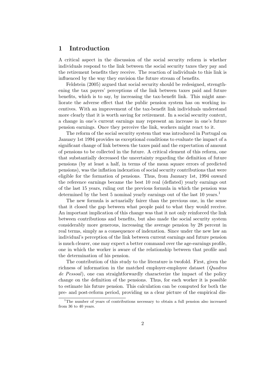#### 1 Introduction

A critical aspect in the discussion of the social security reform is whether individuals respond to the link between the social security taxes they pay and the retirement benefits they receive. The reaction of individuals to this link is influenced by the way they envision the future stream of benefits.

Feldstein (2005) argued that social security should be redesigned, strengthening the tax payers' perceptions of the link between taxes paid and future benefits, which is to say, by increasing the tax-benefit link. This might ameliorate the adverse effect that the public pension system has on working incentives. With an improvement of the tax-benefit link individuals understand more clearly that it is worth saving for retirement. In a social security context, a change in one's current earnings may represent an increase in one's future pension earnings. Once they perceive the link, workers might react to it.

The reform of the social security system that was introduced in Portugal on January 1st 1994 provides us exceptional conditions to evaluate the impact of a significant change of link between the taxes paid and the expectation of amount of pensions to be collected in the future. A critical element of this reform, one that substantially decreased the uncertainty regarding the definition of future pensions (by at least a half, in terms of the mean square errors of predicted pensions), was the inflation indexation of social security contributions that were eligible for the formation of pensions. Thus, from January 1st, 1994 onward the reference earnings became the best 10 real (deflated) yearly earnings out of the last 15 years, ruling out the previous formula in which the pension was determined by the best 5 nominal yearly earnings out of the last 10 years.<sup>1</sup>

The new formula is actuarially fairer than the previous one, in the sense that it closed the gap between what people paid to what they would receive. An important implication of this change was that it not only reinforced the link between contributions and benefits, but also made the social security system considerably more generous, increasing the average pension by 28 percent in real terms, simply as a consequence of indexation. Since under the new law an individual's perception of the link between current earnings and future pension is much clearer, one may expect a better command over the age-earnings profile, one in which the worker is aware of the relationship between that profile and the determination of his pension.

The contribution of this study to the literature is twofold. First, given the richness of information in the matched employer-employee dataset (Quadros de Pessoal), one can straightforwardly characterize the impact of the policy change on the definition of the pensions. Thus, for each worker it is possible to estimate his future pension. This calculation can be computed for both the pre- and post-reform period, providing us a clear picture of the empirical dis-

<sup>&</sup>lt;sup>1</sup>The number of years of contributions necessary to obtain a full pension also increased from 36 to 40 years.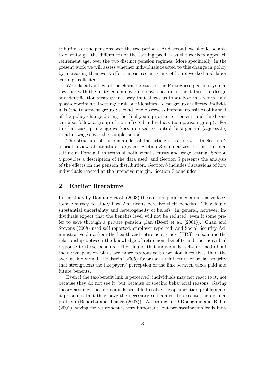tributions of the pensions over the two periods. And second, we should be able to disentangle the differences of the earning profiles as the workers approach retirement age, over the two distinct pension regimes. More specifically, in the present work we will assess whether individuals reacted to this change in policy by increasing their work effort, measured in terms of hours worked and labor earnings collected.

We take advantage of the characteristics of the Portuguese pension system, together with the matched employer-employee nature of the dataset, to design our identification strategy in a way that allows us to analyze this reform in a quasi-experimental setting: first, one identifies a clear group of affected individuals (the treatment group); second, one observes different intensities of impact of the policy change during the final years prior to retirement; and third, one can also follow a group of non-affected individuals (comparison group). For this last case, prime-age workers are used to control for a general (aggregate) trend in wages over the sample period.

The structure of the remainder of the article is as follows. In Section 2 a brief review of literature is given. Section 3 summarizes the institutional setting in Portugal, in terms of both social security and wage setting. Section 4 provides a description of the data used, and Section 5 presents the analysis of the effects on the pension distribution. Section 6 includes discussions of how individuals reacted at the intensive margin. Section 7 concludes.

#### 2 Earlier literature

In the study by Dominitz et al. (2003) the authors performed an intensive faceto-face survey to study how Americans perceive their benefits. They found substantial uncertainty and heterogeneity of beliefs. In general, however, individuals expect that the benefits level will not be reduced, even if some prefer to save through a private pension plan (Boeri et al. (2001)). Chan and Stevens (2008) used self-reported, employer reported, and Social Security Administrative data from the health and retirement study (HRS) to examine the relationship between the knowledge of retirement benefits and the individual response to those benefits. They found that individuals well-informed about their own pension plans are more responsive to pension incentives than the average individual. Feldstein (2005) favors an architecture of social security that strengthens the tax payers' perception of the link between taxes paid and future benefits.

Even if the tax-benefit link is perceived, individuals may not react to it, not because they do not see it, but because of specific behavioral reasons. Saving theory assumes that individuals are able to solve the optimization problem and it presumes that they have the necessary self-control to execute the optimal problem (Benartzi and Thaler (2007)). According to O'Donoghue and Rabin (2001), saving for retirement is very important, but procrastination leads indi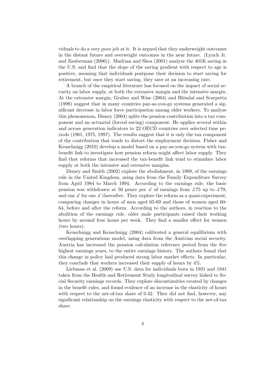viduals to do a very poor job at it. It is argued that they underweight outcomes in the distant future and overweight outcomes in the near future. (Lynch Jr. and Zauberman (2006)). Madrian and Shea (2001) analyze the 401K saving in the U.S. and find that the slope of the saving gradient with respect to age is positive, meaning that individuals postpone their decision to start saving for retirement, but once they start saving, they save at an increasing rate.

A branch of the empirical literature has focused on the impact of social security on labor supply, at both the extensive margin and the intensive margin. At the extensive margin, Gruber and Wise (2004) and Blöndal and Scarpetta (1999) suggest that in many countries pay-as-you-go systems generated a significant decrease in labor force participation among older workers. To analyze this phenomenon, Disney (2004) splits the pension contribution into a tax component and an actuarial (forced saving) component. He applies several within and across generation indicators to 22 OECD countries over selected time periods (1961, 1975, 1997). The results suggest that it is only the tax component of the contribution that tends to distort the employment decision. Fisher and Keuschnigg (2010) develop a model based on a pay-as-you-go system with taxbenefit link to investigate how pension reform might affect labor supply. They find that reforms that increased the tax-benefit link tend to stimulate labor supply at both the intensive and extensive margins.

Disney and Smith (2002) explore the abolishment, in 1989, of the earnings rule in the United Kingdom, using data from the Family Expenditure Survey from April 1984 to March 1994. According to the earnings rule, the basic pension was withdrawn at 50 pence per  $\mathcal L$  of earnings from  $\mathcal L$ 75 up to  $\mathcal L$ 79, and one  $\mathcal L$  for one  $\mathcal L$  thereafter. They explore the reform as a quasi-experiment, comparing changes in hours of men aged 65-69 and those of women aged 60- 64, before and after the reform. According to the authors, in reaction to the abolition of the earnings rule, older male participants raised their working hours by around four hours per week. They find a smaller effect for women (two hours).

Keuschnigg and Keuschnigg (2004) calibrated a general equilibrium with overlapping generations model, using data from the Austrian social security. Austria has increased the pension calculation reference period from the five highest earnings years, to the entire earnings history. The authors found that this change in policy had produced strong labor market effects. In particular, they conclude that workers increased their supply of hours by 4%.

Liebman et al. (2009) use U.S. data for individuals born in 1931 and 1941 taken from the Health and Retirement Study longitudinal survey linked to Social Security earnings records. They explore discontinuities created by changes in the benefit rules, and found evidence of an increase in the elasticity of hours with respect to the net-of-tax share of 0.42. They did not find, however, any significant relationship on the earnings elasticity with respect to the net-of-tax share.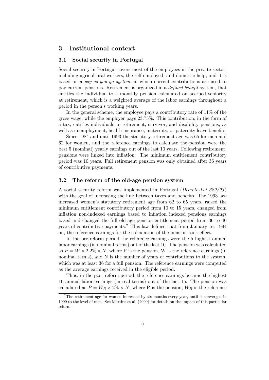#### 3 Institutional context

#### 3.1 Social security in Portugal

Social security in Portugal covers most of the employees in the private sector, including agricultural workers, the self-employed, and domestic help, and it is based on a pay-as-you-go system, in which current contributions are used to pay current pensions. Retirement is organized in a defined benefit system, that entitles the individual to a monthly pension calculated on accrued seniority at retirement, which is a weighted average of the labor earnings throughout a period in the person's working years.

In the general scheme, the employee pays a contributory rate of 11% of the gross wage, while the employer pays 23.75%. This contribution, in the form of a tax, entitles individuals to retirement, survivor, and disability pensions, as well as unemployment, health insurance, maternity, or paternity leave benefits.

Since 1984 and until 1993 the statutory retirement age was 65 for men and 62 for women, and the reference earnings to calculate the pension were the best 5 (nominal) yearly earnings out of the last 10 years. Following retirement, pensions were linked into inflation. The minimum entitlement contributory period was 10 years. Full retirement pension was only obtained after 36 years of contributive payments.

#### 3.2 The reform of the old-age pension system

A social security reform was implemented in Portugal (Decreto-Lei 329/93 ) with the goal of increasing the link between taxes and benefits. The 1993 law increased women's statutory retirement age from 62 to 65 years, raised the minimum entitlement contributory period from 10 to 15 years, changed from inflation non-indexed earnings based to inflation indexed pensions earnings based and changed the full old-age pension entitlement period from 36 to 40 years of contributive payments.<sup>2</sup> This law defined that from January 1st 1994 on, the reference earnings for the calculation of the pension took effect.

In the pre-reform period the reference earnings were the 5 highest annual labor earnings (in nominal terms) out of the last 10. The pension was calculated as  $P = W \times 2.2\% \times N$ , where P is the pension, W is the reference earnings (in nominal terms), and N is the number of years of contributions to the system, which was at least 36 for a full pension. The reference earnings were computed as the average earnings received in the eligible period.

Thus, in the post-reform period, the reference earnings became the highest 10 annual labor earnings (in real terms) out of the last 15. The pension was calculated as  $P = W_R \times 2\% \times N$ , where P is the pension,  $W_R$  is the reference

<sup>&</sup>lt;sup>2</sup>The retirement age for women increased by six months every year, until it converged in 1999 to the level of men. See Martins et al. (2009) for details on the impact of this particular reform.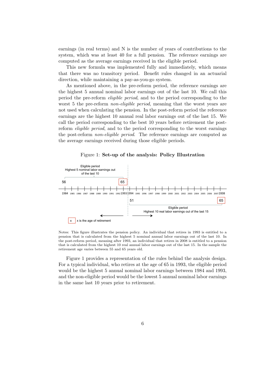earnings (in real terms) and N is the number of years of contributions to the system, which was at least 40 for a full pension. The reference earnings are computed as the average earnings received in the eligible period.

This new formula was implemented fully and immediately, which means that there was no transitory period. Benefit rules changed in an actuarial direction, while maintaining a pay-as-you-go system.

As mentioned above, in the pre-reform period, the reference earnings are the highest 5 annual nominal labor earnings out of the last 10. We call this period the pre-reform eligible period, and to the period corresponding to the worst 5 the pre-reform *non-eligible period*, meaning that the worst years are not used when calculating the pension. In the post-reform period the reference earnings are the highest 10 annual real labor earnings out of the last 15. We call the period corresponding to the best 10 years before retirement the postreform eligible period, and to the period corresponding to the worst earnings the post-reform non-eligible period. The reference earnings are computed as the average earnings received during those eligible periods.

Figure 1: Set-up of the analysis: Policy Illustration



Notes: This figure illustrates the pension policy. An individual that retires in 1993 is entitled to a pension that is calculated from the highest 5 nominal annual labor earnings out of the last 10. In the post-reform period, meaning after 1993, an individual that retires in 2008 is entitled to a pension that is calculated from the highest 10 real annual labor earnings out of the last 15. In the sample the retirement age varies between 55 and 65 years old.

Figure 1 provides a representation of the rules behind the analysis design. For a typical individual, who retires at the age of 65 in 1993, the eligible period would be the highest 5 annual nominal labor earnings between 1984 and 1993, and the non-eligible period would be the lowest 5 annual nominal labor earnings in the same last 10 years prior to retirement.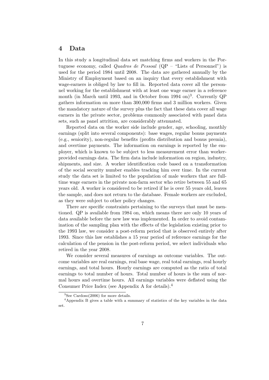#### 4 Data

In this study a longitudinal data set matching firms and workers in the Portuguese economy, called Quadros de Pessoal (QP – "Lists of Personnel") is used for the period 1984 until 2008. The data are gathered annually by the Ministry of Employment based on an inquiry that every establishment with wage-earners is obliged by law to fill in. Reported data cover all the personnel working for the establishment with at least one wage earner in a reference month (in March until 1993, and in October from 1994 on)<sup>3</sup>. Currently QP gathers information on more than 300,000 firms and 3 million workers. Given the mandatory nature of the survey plus the fact that these data cover all wage earners in the private sector, problems commonly associated with panel data sets, such as panel attrition, are considerably attenuated.

Reported data on the worker side include gender, age, schooling, monthly earnings (split into several components): base wages, regular bonus payments (e.g., seniority), non-regular benefits (profits distribution and bonus premia), and overtime payments. The information on earnings is reported by the employer, which is known to be subject to less measurement error than workerprovided earnings data. The firm data include information on region, industry, shipments, and size. A worker identification code based on a transformation of the social security number enables tracking him over time. In the current study the data set is limited to the population of male workers that are fulltime wage earners in the private non-farm sector who retire between 55 and 65 years old. A worker is considered to be retired if he is over 55 years old, leaves the sample, and does not return to the database. Female workers are excluded, as they were subject to other policy changes.

There are specific constraints pertaining to the surveys that must be mentioned. QP is available from 1984 on, which means there are only 10 years of data available before the new law was implemented. In order to avoid contamination of the sampling plan with the effects of the legislation existing prior to the 1993 law, we consider a post-reform period that is observed entirely after 1993. Since this law establishes a 15 year period of reference earnings for the calculation of the pension in the post-reform period, we select individuals who retired in the year 2008.

We consider several measures of earnings as outcome variables. The outcome variables are real earnings, real base wage, real total earnings, real hourly earnings, and total hours. Hourly earnings are computed as the ratio of total earnings to total number of hours. Total number of hours is the sum of normal hours and overtime hours. All earnings variables were deflated using the Consumer Price Index (see Appendix A for details).<sup>4</sup>

 ${}^{3}$ See Cardoso(2006) for more details.

<sup>4</sup>Appendix B gives a table with a summary of statistics of the key variables in the data set.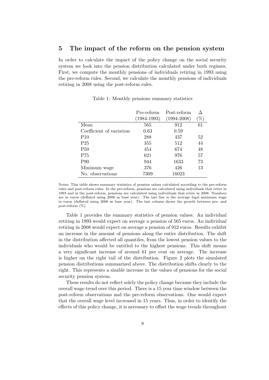#### 5 The impact of the reform on the pension system

In order to calculate the impact of the policy change on the social security system we look into the pension distribution calculated under both regimes. First, we compute the monthly pensions of individuals retiring in 1993 using the pre-reform rules. Second, we calculate the monthly pensions of individuals retiring in 2008 using the post-reform rules.

|                          | Pre-reform      | Post-reform     |      |
|--------------------------|-----------------|-----------------|------|
|                          | $(1984 - 1993)$ | $(1994 - 2008)$ | $\%$ |
| Mean                     | 565             | 912             | 61   |
| Coefficient of variation | 0.63            | 0.59            |      |
| P10                      | 288             | 437             | 52   |
| P <sub>25</sub>          | 355             | 512             | 44   |
| <b>P50</b>               | 454             | 674             | 48   |
| P75                      | 621             | 976             | 57   |
| <b>P90</b>               | 944             | 1633            | 73   |
| Minimum wage             | 376             | 426             | 13   |
| No. observations         | 7309            | 16023           |      |

Table 1: Monthly pensions summary statistics

Notes: This table shows summary statistics of pension values calculated according to the pre-reform rules and post-reform rules. In the pre-reform, pensions are calculated using individuals that retire in 1993 and in the post-reform, pensions are calculated using individuals that retire in 2008. Numbers are in euros (deflated using 2008 as base year). The last line is the average legal minimum wage in euros (deflated using 2008 as base year). The last column shows the growth between pre- and post-reform (%).

Table 1 provides the summary statistics of pension values. An individual retiring in 1993 would expect on average a pension of 565 euros. An individual retiring in 2008 would expect on average a pension of 912 euros. Results exhibit an increase in the amount of pensions along the entire distribution. The shift in the distribution affected all quantiles, from the lowest pension values to the individuals who would be entitled to the highest pensions. This shift means a very significant increase of around 61 per cent on average. The increase is higher on the right tail of the distribution. Figure 2 plots the simulated pension distributions summarized above. The distribution shifts clearly to the right. This represents a sizable increase in the values of pensions for the social security pension system.

These results do not reflect solely the policy change because they include the overall wage trend over this period. There is a 15 year time window between the post-reform observations and the pre-reform observations. One would expect that the overall wage level increased in 15 years. Thus, in order to identify the effects of this policy change, it is necessary to offset the wage trends throughout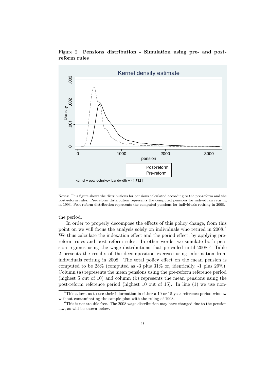



Notes: This figure shows the distributions for pensions calculated according to the pre-reform and the post-reform rules. Pre-reform distribution represents the computed pensions for individuals retiring in 1993. Post-reform distribution represents the computed pensions for individuals retiring in 2008.

the period.

In order to properly decompose the effects of this policy change, from this point on we will focus the analysis solely on individuals who retired in 2008.<sup>5</sup> We thus calculate the indexation effect and the period effect, by applying prereform rules and post reform rules. In other words, we simulate both pension regimes using the wage distributions that prevailed until  $2008<sup>6</sup>$  Table 2 presents the results of the decomposition exercise using information from individuals retiring in 2008. The total policy effect on the mean pension is computed to be 28% (computed as -3 plus 31% or, identically, -1 plus 29%). Column (a) represents the mean pensions using the pre-reform reference period (highest 5 out of 10) and column (b) represents the mean pensions using the post-reform reference period (highest 10 out of 15). In line (1) we use non-

<sup>5</sup>This allows us to use their information in either a 10 or 15 year reference period window without contaminating the sample plan with the ruling of 1993.

<sup>&</sup>lt;sup>6</sup>This is not trouble free. The 2008 wage distribution may have changed due to the pension law, as will be shown below.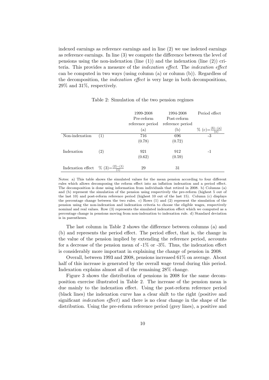indexed earnings as reference earnings and in line (2) we use indexed earnings as reference earnings. In line (3) we compute the difference between the level of pensions using the non-indexation (line  $(1)$ ) and the indexation (line  $(2)$ ) criteria. This provides a measure of the indexation effect. The indexation effect can be computed in two ways (using column (a) or column (b)). Regardless of the decomposition, the indexation effect is very large in both decompositions, 29% and 31%, respectively.

|                   |                   | 1999-2008<br>Pre-reform | 1994-2008<br>Post-reform | Period effect |
|-------------------|-------------------|-------------------------|--------------------------|---------------|
|                   |                   | reference period        | reference period         |               |
|                   |                   | (a)                     | (b)                      |               |
| Non-indexation    | (1)               | 716                     | 696                      | $-3$          |
|                   |                   | (0.78)                  | (0.72)                   |               |
| Indexation        | $\left( 2\right)$ | 921                     | 912                      | -1            |
|                   |                   | (0.62)                  | (0.59)                   |               |
| Indexation effect | %<br>(3)          | 29                      | 31                       |               |

Table 2: Simulation of the two pension regimes

Notes: a) This table shows the simulated values for the mean pension according to four different rules which allows decomposing the reform effect into an inflation indexation and a period effect. The decomposition is done using information from individuals that retired in 2008. b) Columns (a) and (b) represent the simulation of the pension using respectively the pre-reform (highest 5 out of the last 10) and post-reform reference period (highest 10 out of the last 15). Column (c) displays the percentage change between the two rules. c) Rows (1) and (2) represent the simulation of the pension using the non-indexation and indexation criteria to choose the eligible wages, respectively nominal and real values. Row (3) represents the simulated indexation effect which we computed as a percentage change in pensions moving from non-indexation to indexation rule. d) Standard deviation is in parentheses.

The last column in Table 2 shows the difference between columns (a) and (b) and represents the period effect. The period effect, that is, the change in the value of the pension implied by extending the reference period, accounts for a decrease of the pension mean of  $-1\%$  or  $-3\%$ . Thus, the indexation effect is considerably more important in explaining the change of pension in 2008.

Overall, between 1993 and 2008, pensions increased 61% on average. About half of this increase is generated by the overall wage trend during this period. Indexation explains almost all of the remaining 28% change.

Figure 3 shows the distribution of pensions in 2008 for the same decomposition exercise illustrated in Table 2. The increase of the pension mean is due mainly to the indexation effect. Using the post-reform reference period (black lines) the indexation curve has a clear shift to the right (positive and significant indexation effect) and there is no clear change in the shape of the distribution. Using the pre-reform reference period (grey lines), a positive and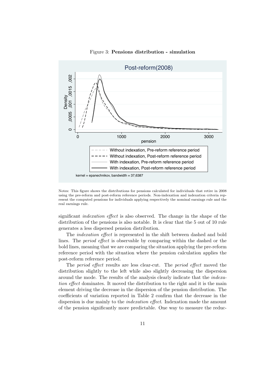

#### Figure 3: Pensions distribution - simulation

Notes: This figure shows the distributions for pensions calculated for individuals that retire in 2008 using the pre-reform and post-reform reference periods. Non-indexation and indexation criteria represent the computed pensions for individuals applying respectively the nominal earnings rule and the real earnings rule.

significant indexation effect is also observed. The change in the shape of the distribution of the pensions is also notable. It is clear that the 5 out of 10 rule generates a less dispersed pension distribution.

The indexation effect is represented in the shift between dashed and bold lines. The period effect is observable by comparing within the dashed or the bold lines, meaning that we are comparing the situation applying the pre-reform reference period with the situation where the pension calculation applies the post-reform reference period.

The period effect results are less clear-cut. The period effect moved the distribution slightly to the left while also slightly decreasing the dispersion around the mode. The results of the analysis clearly indicate that the indexation effect dominates. It moved the distribution to the right and it is the main element driving the decrease in the dispersion of the pension distribution. The coefficients of variation reported in Table 2 confirm that the decrease in the dispersion is due mainly to the *indexation effect*. Indexation made the amount of the pension significantly more predictable. One way to measure the reduc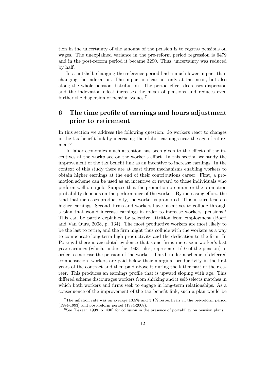tion in the uncertainty of the amount of the pension is to regress pensions on wages. The unexplained variance in the pre-reform period regression is 6479 and in the post-reform period it became 3290. Thus, uncertainty was reduced by half.

In a nutshell, changing the reference period had a much lower impact than changing the indexation. The impact is clear not only at the mean, but also along the whole pension distribution. The period effect decreases dispersion and the indexation effect increases the mean of pensions and reduces even further the dispersion of pension values.<sup>7</sup>

#### 6 The time profile of earnings and hours adjustment prior to retirement

In this section we address the following question: do workers react to changes in the tax-benefit link by increasing their labor earnings near the age of retirement?

In labor economics much attention has been given to the effects of the incentives at the workplace on the worker's effort. In this section we study the improvement of the tax benefit link as an incentive to increase earnings. In the context of this study there are at least three mechanisms enabling workers to obtain higher earnings at the end of their contributions career. First, a promotion scheme can be used as an incentive or reward to those individuals who perform well on a job. Suppose that the promotion premium or the promotion probability depends on the performance of the worker. By increasing effort, the kind that increases productivity, the worker is promoted. This in turn leads to higher earnings. Second, firms and workers have incentives to collude through a plan that would increase earnings in order to increase workers' pensions.<sup>8</sup> This can be partly explained by selective attrition from employment (Boeri and Van Ours, 2008, p. 134). The most productive workers are most likely to be the last to retire, and the firm might thus collude with the workers as a way to compensate long-term high productivity and the dedication to the firm. In Portugal there is anecdotal evidence that some firms increase a worker's last year earnings (which, under the 1993 rules, represents 1/10 of the pension) in order to increase the pension of the worker. Third, under a scheme of deferred compensation, workers are paid below their marginal productivity in the first years of the contract and then paid above it during the latter part of their career. This produces an earnings profile that is upward sloping with age. This differed scheme discourages workers from shirking and it self-selects matches in which both workers and firms seek to engage in long-term relationships. As a consequence of the improvement of the tax benefit link, such a plan would be

<sup>7</sup>The inflation rate was on average 13.5% and 3.1% respectively in the pre-reform period (1984-1993) and post-reform period (1994-2008).

<sup>8</sup>See (Lazear, 1998, p. 430) for collusion in the presence of portability on pension plans.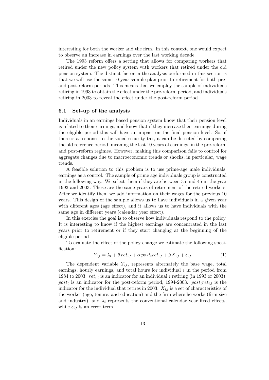interesting for both the worker and the firm. In this context, one would expect to observe an increase in earnings over the last working decade.

The 1993 reform offers a setting that allows for comparing workers that retired under the new policy system with workers that retired under the old pension system. The distinct factor in the analysis performed in this section is that we will use the same 10 year sample plan prior to retirement for both preand post-reform periods. This means that we employ the sample of individuals retiring in 1993 to obtain the effect under the pre-reform period, and individuals retiring in 2003 to reveal the effect under the post-reform period.

#### 6.1 Set-up of the analysis

Individuals in an earnings based pension system know that their pension level is related to their earnings, and know that if they increase their earnings during the eligible period this will have an impact on the final pension level. So, if there is a response to the social security tax, it can be detected by comparing the old reference period, meaning the last 10 years of earnings, in the pre-reform and post-reform regimes. However, making this comparison fails to control for aggregate changes due to macroeconomic trends or shocks, in particular, wage trends.

A feasible solution to this problem is to use prime-age male individuals' earnings as a control. The sample of prime age individuals group is constructed in the following way. We select them if they are between 35 and 45 in the year 1993 and 2003. These are the same years of retirement of the retired workers. After we identify them we add information on their wages for the previous 10 years. This design of the sample allows us to have individuals in a given year with different ages (age effect), and it allows us to have individuals with the same age in different years (calendar year effect).

In this exercise the goal is to observe how individuals respond to the policy. It is interesting to know if the highest earnings are concentrated in the last years prior to retirement or if they start changing at the beginning of the eligible period.

To evaluate the effect of the policy change we estimate the following specification:

$$
Y_{i,t} = \lambda_t + \theta \, ret_{i,t} + \alpha \, post_t ret_{i,t} + \beta X_{i,t} + \epsilon_{i,t} \tag{1}
$$

The dependent variable  $Y_{i,t}$ , represents alternately the base wage, total earnings, hourly earnings, and total hours for individual  $i$  in the period from 1984 to 2003.  $ret_{i,t}$  is an indicator for an individual i retiring (in 1993 or 2003).  $post_t$  is an indicator for the post-reform period, 1994-2003.  $post_tret_{i,t}$  is the indicator for the individual that retires in 2003.  $X_{i,t}$  is a set of characteristics of the worker (age, tenure, and education) and the firm where he works (firm size and industry), and  $\lambda_t$  represents the conventional calendar year fixed effects, while  $\epsilon_{i,t}$  is an error term.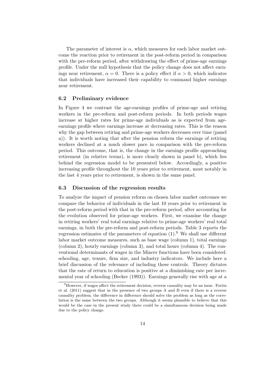The parameter of interest is  $\alpha$ , which measures for each labor market outcome the reaction prior to retirement in the post-reform period in comparison with the pre-reform period, after withdrawing the effect of prime-age earnings profile. Under the null hypothesis that the policy change does not affect earnings near retirement,  $\alpha = 0$ . There is a policy effect if  $\alpha > 0$ , which indicates that individuals have increased their capability to command higher earnings near retirement.

#### 6.2 Preliminary evidence

In Figure 4 we contrast the age-earnings profiles of prime-age and retiring workers in the pre-reform and post-reform periods. In both periods wages increase at higher rates for prime-age individuals as is expected from ageearnings profile where earnings increase at decreasing rates. This is the reason why the gap between retiring and prime-age workers decreases over time (panel a)). It is worth noting that after the pension reform the earnings of retiring workers declined at a much slower pace in comparison with the pre-reform period. This outcome, that is, the change in the earnings profile approaching retirement (in relative terms), is more clearly shown in panel b), which lies behind the regression model to be presented below. Accordingly, a positive increasing profile throughout the 10 years prior to retirement, most notably in the last 4 years prior to retirement, is shown in the same panel.

#### 6.3 Discussion of the regression results

To analyze the impact of pension reform on chosen labor market outcomes we compare the behavior of individuals in the last 10 years prior to retirement in the post-reform period with that in the pre-reform period, after accounting for the evolution observed for prime-age workers. First, we examine the change in retiring workers' real total earnings relative to prime-age workers' real total earnings, in both the pre-reform and post-reform periods. Table 3 reports the regression estimates of the parameters of equation  $(1)$ .<sup>9</sup> We shall use different labor market outcome measures, such as base wage (column 1), total earnings (column 2), hourly earnings (column 3), and total hours (column 4). The conventional determinants of wages in the Mincer functions have been considered: schooling, age, tenure, firm size, and industry indicators. We include here a brief discussion of the relevance of including these controls. Theory dictates that the rate of return to education is positive at a diminishing rate per incremental year of schooling (Becker (1993)). Earnings generally rise with age at a

<sup>&</sup>lt;sup>9</sup>However, if wages affect the retirement decision, reverse causality may be an issue. Fortin et al. (2011) suggest that in the presence of two groups A and B even if there is a reverse causality problem, the difference in difference should solve the problem as long as the correlation is the same between the two groups. Although it seems plausible to believe that this would be the case in the present study there could be a simultaneous decision being made due to the policy change.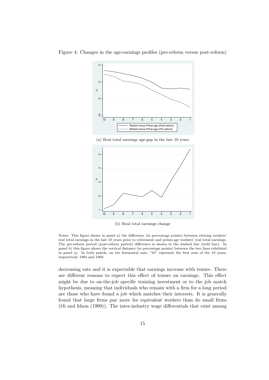

Figure 4: Changes in the age-earnings profiles (pre-reform versus post-reform)

(a) Real total earnings age-gap in the last 10 years



(b) Real total earnings change

Notes: This figure shows in panel a) the difference (in percentage points) between retiring workers' real total earnings in the last 10 years prior to retirement and prime-age workers' real total earnings. The pre-reform period (post-reform period) difference is shown in the dashed line (bold line). In panel b) this figure shows the vertical distance (in percentage points) between the two lines exhibited in panel a). In both panels, on the horizontal axis, "10" represent the first year of the 10 years, respectively 1984 and 1994.

decreasing rate and it is expectable that earnings increase with tenure. There are different reasons to expect this effect of tenure on earnings. This effect might be due to on-the-job specific training investment or to the job match hypothesis, meaning that individuals who remain with a firm for a long period are those who have found a job which matches their interests. It is generally found that large firms pay more for equivalent workers than do small firms (Oi and Idson (1999)). The inter-industry wage differentials that exist among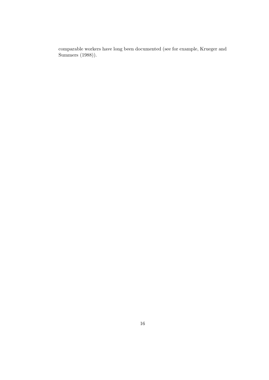comparable workers have long been documented (see for example, Krueger and Summers (1988)).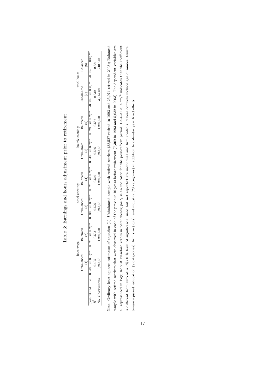|                 | Balanced            | 0.381                                                                                                                             | .240.540    |
|-----------------|---------------------|-----------------------------------------------------------------------------------------------------------------------------------|-------------|
| otal hours      | Jnbalanced          | **(000°) \$00°Q **(000°O) \$00°Q **(200°O) 620°O) \$20°O **(200°O) \$\$0.200°O) \$20°O **(200°O) \$80°O **(200°O) \$20°O<br>0.332 | 3,213,481   |
|                 | $_{\rm Balanced}$   | 0.587                                                                                                                             | 1.240,540   |
| hourly earnings | $Jn$ balanced<br>í۵ | 0.566                                                                                                                             | 3,213,481   |
|                 | Balanced            | 0.540                                                                                                                             | 1,240,540   |
| total earnings  | Inbalanced          | 0.526                                                                                                                             | 3,213,481   |
| base wage       | Balanced<br>ŷ       | 0.503                                                                                                                             | .240.540    |
|                 |                     |                                                                                                                                   |             |
|                 |                     | st. retired $\alpha$ 0.048 (0.001)                                                                                                | bservations |

Table 3: Earnings and hours adjustment prior to retirement Table 3: Earnings and hours adjustment prior to retirement

Note: Ordinary least squares estimates of equation (1); Unbalanced sample with retired workers (33,527 retired in 1993 and 25,974 retired in 2003); Balanced sample with retired workers that were observed in each of the previous 10 years before retirement (7,309 in 1993 and 5,032 in 2003); The dependent variables are all represented in logs; Robust standard errors in parentheses;  $post_t$  is an indicator for the post-reform period, 1994-2003; a  $**/*$  indicates that the coefficient is different from zero at a 5%/10% level of significance; used but not reported are individual and firm controls. These controls include age dummies, tenure, Note: Ordinary least squares estimates of equation (1); Unbalanced sample with retired workers (33,527 retired in 1993 and 25,974 retired in 2003); Balanced Note: sample with retired workers that were observed in each of the previous 10 years before retirement (7,309 in 1993 and 5,032 in 2003); The dependent variables are all represented in logs; Robust standard errors in parentheses; postt is an indicator for the post-reform period, 1994-2003; a \*\*/\* indicates that the coefficient is different from zero at a 5%/10% level of significance; used but not reported are individual and firm controls. These controls include age dummies, tenure, tenure squared, education (9 categories), firm size (logs), and industry (28 categories) in addition to calendar year fixed effects. tenure squared, education (9 categories), firm size (logs), and industry (28 categories) in addition to calendar year fixed effects.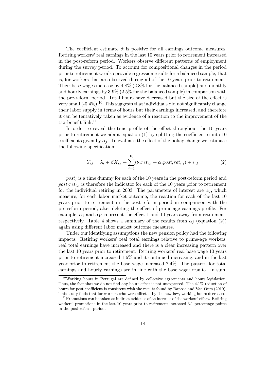The coefficient estimate  $\hat{\alpha}$  is positive for all earnings outcome measures. Retiring workers' real earnings in the last 10 years prior to retirement increased in the post-reform period. Workers observe different patterns of employment during the survey period. To account for compositional changes in the period prior to retirement we also provide regression results for a balanced sample, that is, for workers that are observed during all of the 10 years prior to retirement. Their base wages increase by 4.8% (2.8% for the balanced sample) and monthly and hourly earnings by 3.9% (2.5% for the balanced sample) in comparison with the pre-reform period. Total hours have decreased but the size of the effect is very small  $(-0.4\%)$ .<sup>10</sup> This suggests that individuals did not significantly change their labor supply in terms of hours but their earnings increased, and therefore it can be tentatively taken as evidence of a reaction to the improvement of the tax-benefit link. $11$ 

In order to reveal the time profile of the effect throughout the 10 years prior to retirement we adapt equation (1) by splitting the coefficient  $\alpha$  into 10 coefficients given by  $\alpha_i$ . To evaluate the effect of the policy change we estimate the following specification:

$$
Y_{i,t} = \lambda_t + \beta X_{i,t} + \sum_{j=1}^{10} (\theta_j ret_{i,j} + \alpha_j post_t ret_{i,j}) + \epsilon_{i,t}
$$
 (2)

 $post_j$  is a time dummy for each of the 10 years in the post-reform period and  $post_tret_{i,j}$  is therefore the indicator for each of the 10 years prior to retirement for the individual retiring in 2003. The parameters of interest are  $\alpha_i$ , which measure, for each labor market outcome, the reaction for each of the last 10 years prior to retirement in the post-reform period in comparison with the pre-reform period, after deleting the effect of prime-age earnings profile. For example,  $\alpha_1$  and  $\alpha_{10}$  represent the effect 1 and 10 years away from retirement, respectively. Table 4 shows a summary of the results from  $\alpha_j$  (equation (2)) again using different labor market outcome measures.

Under our identifying assumptions the new pension policy had the following impacts. Retiring workers' real total earnings relative to prime-age workers' real total earnings have increased and there is a clear increasing pattern over the last 10 years prior to retirement. Retiring workers' real base wage 10 years prior to retirement increased 1.6% and it continued increasing, and in the last year prior to retirement the base wage increased 7.4%. The pattern for total earnings and hourly earnings are in line with the base wage results. In sum,

 $10$ Working hours in Portugal are defined by collective agreements and hours legislation. Thus, the fact that we do not find any hours effect is not unexpected. The 4.1% reduction of hours for post coefficient is consistent with the results found by Raposo and Van Ours (2010). This study finds that for workers who were affected by the new law, working hours decreased.

 $11$ Promotions can be taken as indirect evidence of an increase of the workers' effort. Retiring workers' promotions in the last 10 years prior to retirement increased 3.1 percentage points in the post-reform period.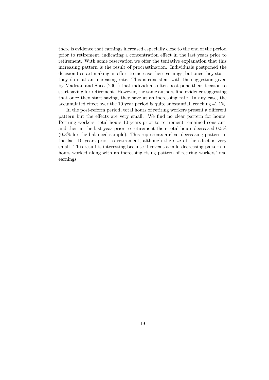there is evidence that earnings increased especially close to the end of the period prior to retirement, indicating a concentration effect in the last years prior to retirement. With some reservation we offer the tentative explanation that this increasing pattern is the result of procrastination. Individuals postponed the decision to start making an effort to increase their earnings, but once they start, they do it at an increasing rate. This is consistent with the suggestion given by Madrian and Shea (2001) that individuals often post pone their decision to start saving for retirement. However, the same authors find evidence suggesting that once they start saving, they save at an increasing rate. In any case, the accumulated effect over the 10 year period is quite substantial, reaching 41.1%.

In the post-reform period, total hours of retiring workers present a different pattern but the effects are very small. We find no clear pattern for hours. Retiring workers' total hours 10 years prior to retirement remained constant, and then in the last year prior to retirement their total hours decreased 0.5% (0.3% for the balanced sample). This represents a clear decreasing pattern in the last 10 years prior to retirement, although the size of the effect is very small. This result is interesting because it reveals a mild decreasing pattern in hours worked along with an increasing rising pattern of retiring workers' real earnings.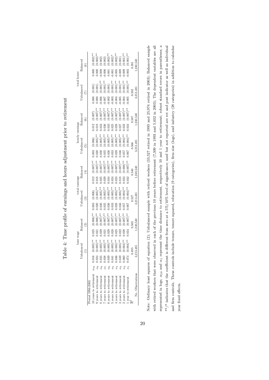|                       |               |       | base wage |                                                                                                                                                                                                                                                                                                       | total earnings            |                                                                                                                                                                                                                                                                                                                              | $\begin{array}{c} \text{hourly earnings}\\ \text{Unbalanced} \end{array}$                                                                                                                                                                                                                                       |                                                                                                                                                                                                                                                                                                                     | total hours                                                                                                                                                                                                                                                                                                  |                                                                                                                                                                                                                                                                                                                                                          |
|-----------------------|---------------|-------|-----------|-------------------------------------------------------------------------------------------------------------------------------------------------------------------------------------------------------------------------------------------------------------------------------------------------------|---------------------------|------------------------------------------------------------------------------------------------------------------------------------------------------------------------------------------------------------------------------------------------------------------------------------------------------------------------------|-----------------------------------------------------------------------------------------------------------------------------------------------------------------------------------------------------------------------------------------------------------------------------------------------------------------|---------------------------------------------------------------------------------------------------------------------------------------------------------------------------------------------------------------------------------------------------------------------------------------------------------------------|--------------------------------------------------------------------------------------------------------------------------------------------------------------------------------------------------------------------------------------------------------------------------------------------------------------|----------------------------------------------------------------------------------------------------------------------------------------------------------------------------------------------------------------------------------------------------------------------------------------------------------------------------------------------------------|
|                       |               | Űпb   | alancec   |                                                                                                                                                                                                                                                                                                       | <b>J</b> nbalanced        | $_{\rm Balanced}$                                                                                                                                                                                                                                                                                                            |                                                                                                                                                                                                                                                                                                                 | Balanced                                                                                                                                                                                                                                                                                                            | <b>J</b> nbalanced                                                                                                                                                                                                                                                                                           | Balanced                                                                                                                                                                                                                                                                                                                                                 |
|                       |               |       |           |                                                                                                                                                                                                                                                                                                       |                           |                                                                                                                                                                                                                                                                                                                              |                                                                                                                                                                                                                                                                                                                 |                                                                                                                                                                                                                                                                                                                     |                                                                                                                                                                                                                                                                                                              |                                                                                                                                                                                                                                                                                                                                                          |
| Period 1994-2003      |               |       |           |                                                                                                                                                                                                                                                                                                       |                           |                                                                                                                                                                                                                                                                                                                              |                                                                                                                                                                                                                                                                                                                 |                                                                                                                                                                                                                                                                                                                     |                                                                                                                                                                                                                                                                                                              |                                                                                                                                                                                                                                                                                                                                                          |
| ) years to retirement | $\alpha_{10}$ | 0.016 |           |                                                                                                                                                                                                                                                                                                       |                           |                                                                                                                                                                                                                                                                                                                              |                                                                                                                                                                                                                                                                                                                 |                                                                                                                                                                                                                                                                                                                     |                                                                                                                                                                                                                                                                                                              |                                                                                                                                                                                                                                                                                                                                                          |
| years to retirement   |               | 0.024 |           |                                                                                                                                                                                                                                                                                                       |                           |                                                                                                                                                                                                                                                                                                                              |                                                                                                                                                                                                                                                                                                                 |                                                                                                                                                                                                                                                                                                                     |                                                                                                                                                                                                                                                                                                              |                                                                                                                                                                                                                                                                                                                                                          |
| years to retirement   |               | 0.035 |           |                                                                                                                                                                                                                                                                                                       |                           |                                                                                                                                                                                                                                                                                                                              |                                                                                                                                                                                                                                                                                                                 |                                                                                                                                                                                                                                                                                                                     |                                                                                                                                                                                                                                                                                                              |                                                                                                                                                                                                                                                                                                                                                          |
| years to retirement   |               | 0.038 |           |                                                                                                                                                                                                                                                                                                       |                           |                                                                                                                                                                                                                                                                                                                              |                                                                                                                                                                                                                                                                                                                 |                                                                                                                                                                                                                                                                                                                     |                                                                                                                                                                                                                                                                                                              |                                                                                                                                                                                                                                                                                                                                                          |
| years to retirement   |               | 0.039 |           |                                                                                                                                                                                                                                                                                                       |                           |                                                                                                                                                                                                                                                                                                                              |                                                                                                                                                                                                                                                                                                                 |                                                                                                                                                                                                                                                                                                                     |                                                                                                                                                                                                                                                                                                              |                                                                                                                                                                                                                                                                                                                                                          |
| years to retirement   |               | 0.041 |           |                                                                                                                                                                                                                                                                                                       |                           |                                                                                                                                                                                                                                                                                                                              |                                                                                                                                                                                                                                                                                                                 |                                                                                                                                                                                                                                                                                                                     |                                                                                                                                                                                                                                                                                                              |                                                                                                                                                                                                                                                                                                                                                          |
| years to retirement   |               | 0.036 |           |                                                                                                                                                                                                                                                                                                       |                           |                                                                                                                                                                                                                                                                                                                              |                                                                                                                                                                                                                                                                                                                 |                                                                                                                                                                                                                                                                                                                     |                                                                                                                                                                                                                                                                                                              |                                                                                                                                                                                                                                                                                                                                                          |
| years to retirement   |               | 0.049 |           |                                                                                                                                                                                                                                                                                                       |                           |                                                                                                                                                                                                                                                                                                                              |                                                                                                                                                                                                                                                                                                                 |                                                                                                                                                                                                                                                                                                                     |                                                                                                                                                                                                                                                                                                              |                                                                                                                                                                                                                                                                                                                                                          |
| years to retirement   |               | 0.060 |           |                                                                                                                                                                                                                                                                                                       |                           |                                                                                                                                                                                                                                                                                                                              |                                                                                                                                                                                                                                                                                                                 |                                                                                                                                                                                                                                                                                                                     |                                                                                                                                                                                                                                                                                                              |                                                                                                                                                                                                                                                                                                                                                          |
| year to retirement    |               | 0.074 |           | $\begin{array}{cccc} (0.005)^{**} & 0.025 & (0.006)^{**} & 0.025 & (0.006)^{**} & 0.025 & (0.006)^{**} & 0.025 & (0.006)^{**} & 0.025 & (0.007)^{**} & 0.025 & (0.007)^{**} & 0.025 & (0.007)^{**} & 0.031 & (0.007)^{**} & 0.029 & (0.007)^{**} & 0.020 & (0.007)^{**} & 0.020 & (0.007)^{**} & 0.0$ |                           | $\begin{array}{cccc} 0.012 & (0.007)^{**} & 0 \\ 0.018 & (0.007)^{**} & (0.007)^{**} \\ 0.025 & (0.007)^{**} & (0.007)^{**} \\ 0.023 & (0.007)^{**} & (0.007)^{**} \\ * & 0.024 & (0.007)^{**} \\ * & * & 0.023 & (0.007)^{**} \\ * & * & 0.034 & (0.008)^{**} \\ * & * & 0.033 & (0.008)^{**} \\ * & * & 0.023 & (0.008)^{$ |                                                                                                                                                                                                                                                                                                                 |                                                                                                                                                                                                                                                                                                                     | $\begin{array}{ll} 0.000 & (0.001) \\ 0.000 & (0.001) \\ 0.000 & (0.001) \\ -0.006 & (0.001) \\ -0.007 & (0.001) \\ -0.002 & (0.001) \\ -0.003 & (0.001) \\ -0.004 & (0.001) \\ +0.005 & (0.001) \\ +0.004 & (0.001) \\ +0.001 & (0.001) \\ +0.001 & (0.001) \\ +0.001 & (0.001) \\ +0.001 & (0.001) \\ +0.$ |                                                                                                                                                                                                                                                                                                                                                          |
|                       |               |       |           | $0.503$<br>$1,240,540$                                                                                                                                                                                                                                                                                | $\frac{0.527}{3.213,481}$ | $0.540$<br>$1.240,540$                                                                                                                                                                                                                                                                                                       | $\begin{array}{l} 0.003 & (0.006) \\ 0.020 & (0.005) ^{***} \\ 0.030 & (0.005) ^{***} \\ 0.030 & (0.005) ^{***} \\ 0.036 & (0.005) ^{***} \\ 0.033 & (0.005) ^{***} \\ 0.033 & (0.005) ^{***} \\ 0.038 & (0.005) ^{***} \\ 0.0046 & (0.004) ^{**} \\ 0.067 & (0.004) ^{**} \\ 0.566 & \\ 0.56 & \\ 3.213.481 \$ | $\begin{array}{ll} 0.012 & (0.007) \\ 0.018 & (0.007) ^{***} \\ 0.033 & (0.007) ^{***} \\ 0.033 & (0.007) ^{***} \\ 0.033 & (0.007) ^{***} \\ 0.035 & (0.007) ^{***} \\ 0.025 & (0.007) ^{***} \\ 0.027 & (0.007) ^{***} \\ 0.032 & (0.007) ^{***} \\ 0.032 & (0.007) ^{***} \\ 0.032 & (0.007) ^{***} \\ 0.537 & $ | $\frac{0.332}{3,213,481}$                                                                                                                                                                                                                                                                                    | $\begin{array}{cccc} \text{0.000} & (0.002)^{\ast\ast} \\ 0.000 & (0.002)^{\ast\ast} \\ 0.000 & (0.002)^{\ast} \\ -0.000 & (0.002)^{\ast} \\ -0.001 & (0.002)^{\ast\ast} \\ 0.001 & (0.002)^{\ast\ast} \\ -0.001 & (0.002)^{\ast\ast} \\ -0.003 & (0.002)^{\ast\ast} \\ -0.009 & (0.001)^{\ast\ast} \\ -0.009 & (0.001)^{\ast\ast} \\ -0.009 & (0.001)^$ |
| No. Observations      |               | 3.21  | 13,481    |                                                                                                                                                                                                                                                                                                       |                           |                                                                                                                                                                                                                                                                                                                              |                                                                                                                                                                                                                                                                                                                 |                                                                                                                                                                                                                                                                                                                     |                                                                                                                                                                                                                                                                                                              |                                                                                                                                                                                                                                                                                                                                                          |

Table 4: Time profile of earnings and hours adjustment prior to retirement Table 4: Time profile of earnings and hours adjustment prior to retirement

Note: Ordinary least squares of equation (2); Unbalanced sample with retired workers (33,527 retired in 1993 and 25,974 retired in 2003); Balanced sample with retired workers that were observed in each of the previous 10 years before retirement  $(7,309$  in 1993 and 5,032 in 2003); The dependent variables are all represented in logs;  $\alpha_{10}$  and  $\alpha_1$  represent the time distance to retirement, respectively 10 and 1 year to retirement; robust standard errors in parentheses; a α1 represent the time distance to retirement, respectively 10 and 1 year to retirement; robust standard errors in parentheses; a  $\alpha$  indicates that the coefficient is different from zero at a 5%/10% level of significance; used but not reported are ret and post indicator as well as individual and firm controls. These controls include tenure, tenure squared, education (9 categories), firm size (logs), and industry (28 categories) in addition to calendar Note: Ordinary least squares of equation (2); Unbalanced sample with retired workers (33,527 retired in 1993 and 25,974 retired in 2003); Balanced sample with retired workers that were observed in each of the previous 10 years before retirement (7,309 in 1993 and 5,032 in 2003); The dependent variables are all \*\*/\* indicates that the coefficient is different from zero at a 5%/10% level of significance; used but not reported are ret and post indicator as well as individual and firm controls. These controls include tenure, tenure squared, education (9 categories), firm size (logs), and industry (28 categories) in addition to calendar represented in logs; year fixed effects. year fixed effects.

0.495 0.527 0.527 0.527 0.540 0.540 0.540 0.540 0.540 0.540 0.540 0.540 0.547 0.547 0.587 0.587 0.332 0.587 0. No. Observations 3,213,481 1,240,540 3,213,481 1,240,540 3,213,481 1,240,540 3,213,481 3,213,481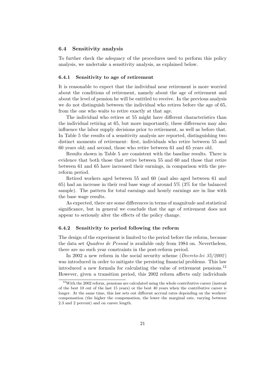#### 6.4 Sensitivity analysis

To further check the adequacy of the procedures used to perform this policy analysis, we undertake a sensitivity analysis, as explained below.

#### 6.4.1 Sensitivity to age of retirement

It is reasonable to expect that the individual near retirement is more worried about the conditions of retirement, namely about the age of retirement and about the level of pension he will be entitled to receive. In the previous analysis we do not distinguish between the individual who retires before the age of 65, from the one who waits to retire exactly at that age.

The individual who retires at 55 might have different characteristics than the individual retiring at 65, but more importantly, these differences may also influence the labor supply decisions prior to retirement, as well as before that. In Table 5 the results of a sensitivity analysis are reported, distinguishing two distinct moments of retirement: first, individuals who retire between 55 and 60 years old; and second, those who retire between 61 and 65 years old.

Results shown in Table 5 are consistent with the baseline results. There is evidence that both those that retire between 55 and 60 and those that retire between 61 and 65 have increased their earnings, in comparison with the prereform period.

Retired workers aged between 55 and 60 (and also aged between 61 and 65) had an increase in their real base wage of around 5% (3% for the balanced sample). The pattern for total earnings and hourly earnings are in line with the base wage results.

As expected, there are some differences in terms of magnitude and statistical significance, but in general we conclude that the age of retirement does not appear to seriously alter the effects of the policy change.

#### 6.4.2 Sensitivity to period following the reform

The design of the experiment is limited to the period before the reform, because the data set Quadros de Pessoal is available only from 1984 on. Nevertheless, there are no such year constraints in the post-reform period.

In 2002 a new reform in the social security scheme (*Decreto-lei*  $35/2002$ ) was introduced in order to mitigate the persisting financial problems. This law introduced a new formula for calculating the value of retirement pensions.<sup>12</sup> However, given a transition period, this 2002 reform affects only individuals

<sup>&</sup>lt;sup>12</sup>With the 2002 reform, pensions are calculated using the whole contributive career (instead of the best 10 out of the last 15 years) or the best 40 years when the contributive career is longer. At the same time, this law sets out different accrual rates depending on the workers' compensation (the higher the compensation, the lower the marginal rate, varying between 2.3 and 2 percent) and on career length.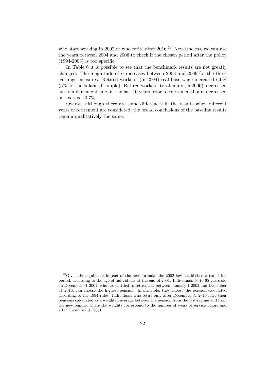who start working in 2002 or who retire after 2016.<sup>13</sup> Nevertheless, we can use the years between 2004 and 2006 to check if the chosen period after the policy  $(1994-2003)$  is too specific.

In Table 6 it is possible to see that the benchmark results are not greatly changed. The magnitude of  $\alpha$  increases between 2003 and 2006 for the three earnings measures. Retired workers' (in 2004) real base wage increased 6.0% (5% for the balanced sample). Retired workers' total hours (in 2006), decreased at a similar magnitude, in the last 10 years prior to retirement hours decreased on average -0.7%.

Overall, although there are some differences in the results when different years of retirement are considered, the broad conclusions of the baseline results remain qualitatively the same.

<sup>&</sup>lt;sup>13</sup>Given the significant impact of the new formula, the 2002 law established a transition period, according to the age of individuals at the end of 2001. Individuals 50 to 65 years old on December 31 2001, who are entitled to retirement between January 1 2002 and December 31 2016, can choose the highest pension. In principle, they choose the pension calculated according to the 1994 rules. Individuals who retire only after December 31 2016 have their pensions calculated as a weighted average between the pension from the last regime and from the new regime, where the weights correspond to the number of years of service before and after December 31 2001.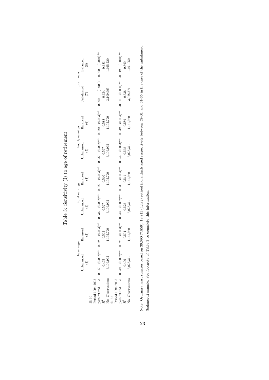| ļ<br>$+$ matrixed $-$<br>to ame<br>$\frac{1}{2}$ |  |
|--------------------------------------------------|--|
|                                                  |  |
| Ì<br>ׇ֚֕֡                                        |  |
| <br>l                                            |  |
| ï<br>Ĭ                                           |  |
| į<br>$\frac{1}{2}$<br>ĺ                          |  |

|                                                           | base               | wage                     |                     | total earnings       |                     | hourly earnings        | total hours         |                       |
|-----------------------------------------------------------|--------------------|--------------------------|---------------------|----------------------|---------------------|------------------------|---------------------|-----------------------|
|                                                           | <b>J</b> nbalanced | $_{\rm Balanced}$        | Unbalanced          | $Bala \nneq d$       | Inbalanced          | Balanced               | <b>J</b> nbalanced  | Balanced              |
|                                                           |                    | $\overline{\mathcal{C}}$ |                     |                      | íc,                 |                        | Ĺ                   |                       |
| 55-60                                                     |                    |                          |                     |                      |                     |                        |                     |                       |
| Period 1994-2003                                          |                    |                          |                     |                      |                     |                        |                     |                       |
| post.retired $\alpha$ 0.047 (0.002)**<br>$\overline{R}^2$ |                    | $0.028$ $(0.003)$ **     | $0.036$ $(0.002)**$ | $0.022$ $(0.003)**$  | $0.037$ $(0.002)**$ | $0.022$ $(0.003)$ **   | $(0.000)$ $(0.000)$ | $0.000$ $(0.001)$ **  |
|                                                           | 0.495              | 0.503                    | 0.527               | 0.540                | 0.567               | 0.588                  | 0.334               | 0.383                 |
| No. Observations                                          | 3,109,995          | .195,720                 | 3,109,995           | ,195,720             | .109,995            | ,195,720               | 1,109,995           | ,195,720              |
| $61 - 65$                                                 |                    |                          |                     |                      |                     |                        |                     |                       |
| Period 1994-2003                                          |                    |                          |                     |                      |                     |                        |                     |                       |
| post.retired $\alpha$ 0.049 $(0.002)^{**}$                |                    | $0.028$ $(0.003)**$      | $0.043$ $(0.002)**$ | $0.030$ $(0.004)$ ** | $0.054$ $(0.003)**$ | $0.042$ $(0.004)^{**}$ | $-0.011$ $(0.000)*$ | $-0.012$ $(0.001)$ ** |
|                                                           | 0.496              | 0.504                    | 0.528               | 0.541                | 0.568               | 0.589                  | 0.338               | 0.390                 |
| No. Observations                                          | 3,028,371          | ,161,950                 | 1,028,371           | ,161,950             | 1,028,371           | .161,950               | 1,028,371           | ,161,950              |

Note: Ordinary least squares based on 39,690 (7,859), 19,811 (4,482) retired individuals aged respectively between 55-60, and 61-65 in the case of the unbalanced Note: Ordinary least squares based on 39,690 (7,859), 19,811 (4,482) retired individuals aged respectively between 55-60, and 61-65 in the case of the unbalanced (balanced) sample. See footnote of Table 3 to complete this information. (balanced) sample. See footnote of Table 3 to complete this information.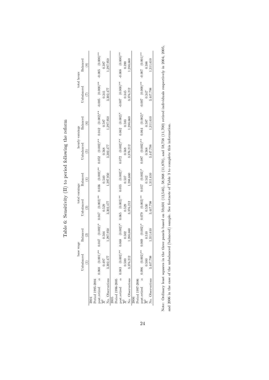| Ì<br>ı<br>Í<br>ĺ                                                                                                          |
|---------------------------------------------------------------------------------------------------------------------------|
| $\frac{1}{2}$<br>١                                                                                                        |
| )<br>֧ׅ֧֧֧֧֧֧֧֛ׅ֧֧ׅ֧֛֛֛֛֛֛֛֛֛֪֛֛֛֛֛֛֛֛֛֛֛֛֛֚֚֚֚֚֚֚֚֚֚֚֚֚֚֚֚֚֚֚֚֚֝֝֩֩֝֓֝֓֝֓֝֓֝֬֝֓֜֓֝֬֜֜֜֜֜<br>- 2<br>;<br>;<br>;<br>l<br>l |
| ;<br>}<br>くくいい へいし<br>1<br>ĺ<br>Í                                                                                         |
| j<br>1                                                                                                                    |
| ļ<br>l<br>í<br>I<br>)<br>)<br>)<br>)<br>l                                                                                 |
|                                                                                                                           |
| $\frac{1}{2}$<br>.<br>ו<br>l                                                                                              |

|                  | base                                  | wage               |                        | total earnings      |                     | hourly earnings     | total hours              |                                |
|------------------|---------------------------------------|--------------------|------------------------|---------------------|---------------------|---------------------|--------------------------|--------------------------------|
|                  | Unbalanced                            | Balanced           | $_{\rm Unbalanced}$    | Balanced            | Unbalanced          | Balanced            | Unbalanced               | Bala <sub>nced</sub>           |
|                  |                                       | ି                  | $\widehat{\mathbf{e}}$ | 4                   | ල                   | $\widehat{6}$       | $\widetilde{C}$          | ၜ                              |
|                  |                                       |                    |                        |                     |                     |                     |                          |                                |
| Period 1995-2004 |                                       |                    |                        |                     |                     |                     |                          |                                |
|                  | post.retired $\alpha$ 0.060 (0.001)** | $0.047$ $(0.002)*$ | $0.047$ $(0.002)**$    | $0.036$ $(0.002)**$ | $0.052$ $(0.002)**$ | $0.042$ $(0.002)**$ | $-0.005$ $(0.000)**$     | $-0.005$ $(0.000)*$            |
|                  | 0.497                                 | 0.504              | 0.529                  | 0.540               | 0.568               | 0.587               | 0.341                    | 0.387                          |
| No. Observations | 3,302,477                             | 1.297.950          | 3,302,477              | ,297,950            | 3,302,477           | ,297,950            | 3,302,477                | .297,950                       |
| 2005             |                                       |                    |                        |                     |                     |                     |                          |                                |
| Period 1996-2005 |                                       |                    |                        |                     |                     |                     |                          |                                |
|                  | post.retired $\alpha$ 0.083 (0.002)** | $0.068$ $(0.002)*$ | $0.065$ $(0.002)**$    | $0.055$ $(0.002)*$  | $0.072$ $(0.002)**$ | $0.062$ $(0.002)^*$ | $***$ (0.00.0) 700.0     | $-0.008$ $(0.000)*$            |
|                  | 0.500                                 | 0.502              | 0.529                  | 0.537               | 0.568               | 0.583               | 0.345                    | 0.390                          |
| No. Observations | 3,376,212                             | .288,660           | 3.376.212              | .288,660            | 3,376,212           | .288,660            | 3,376,212                | .288,660                       |
| 2006             |                                       |                    |                        |                     |                     |                     |                          |                                |
| Period 1997-2006 |                                       |                    |                        |                     |                     |                     |                          |                                |
|                  | post.retired $\alpha$ 0.096 (0.002)** | $0.069$ $(0.002)*$ | $0.079$ $(0.002)**$    | $0.057$ $(0.002)*$  | $0.087$ $(0.002)*$  | $0.064$ $(0.002)*$  | $**(000.007 700.00 - 1)$ | $-0.001$ (0.001) <sup>**</sup> |
|                  | 0.500                                 | 0.510              | 0.530                  | 0.542               | 0.568               | 0.587               | 0.347                    | 0.388                          |
| No. Observations | 3,447,798                             | 1,311,610          | 3,447,798              | 311,610             | 3,447,798           | , 311.610           | 3,447,798                | ,311,610                       |

Note: Ordinary least squares in the three panels based on 59,601 (12,546), 58,968 (11,870), and 58,758 (11,700) retired individuals respectively in 2004, 2005, Note: Ordinary least squares in the three panels based on 59,601 (12,546), 58,968 (11,870), and 58,758 (11,700) retired individuals respectively in 2004, 2005, and 2006 in the case of the unbalanced (balanced) sample. See footnote of Table 3 to complete this information. and 2006 in the case of the unbalanced (balanced) sample. See footnote of Table 3 to complete this information.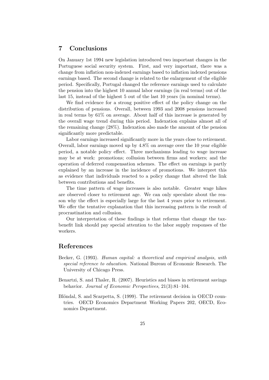#### 7 Conclusions

On January 1st 1994 new legislation introduced two important changes in the Portuguese social security system. First, and very important, there was a change from inflation non-indexed earnings based to inflation indexed pensions earnings based. The second change is related to the enlargement of the eligible period. Specifically, Portugal changed the reference earnings used to calculate the pension into the highest 10 annual labor earnings (in real terms) out of the last 15, instead of the highest 5 out of the last 10 years (in nominal terms).

We find evidence for a strong positive effect of the policy change on the distribution of pensions. Overall, between 1993 and 2008 pensions increased in real terms by 61% on average. About half of this increase is generated by the overall wage trend during this period. Indexation explains almost all of the remaining change (28%). Indexation also made the amount of the pension significantly more predictable.

Labor earnings increased significantly more in the years close to retirement. Overall, labor earnings moved up by 4.8% on average over the 10 year eligible period, a notable policy effect. Three mechanisms leading to wage increase may be at work: promotions; collusion between firms and workers; and the operation of deferred compensation schemes. The effect on earnings is partly explained by an increase in the incidence of promotions. We interpret this as evidence that individuals reacted to a policy change that altered the link between contributions and benefits.

The time pattern of wage increases is also notable. Greater wage hikes are observed closer to retirement age. We can only speculate about the reason why the effect is especially large for the last 4 years prior to retirement. We offer the tentative explanation that this increasing pattern is the result of procrastination and collusion.

Our interpretation of these findings is that reforms that change the taxbenefit link should pay special attention to the labor supply responses of the workers.

#### References

- Becker, G. (1993). Human capital: a theoretical and empirical analysis, with special reference to education. National Bureau of Economic Research. The University of Chicago Press.
- Benartzi, S. and Thaler, R. (2007). Heuristics and biases in retirement savings behavior. Journal of Economic Perspectives, 21(3):81–104.
- Blöndal, S. and Scarpetta, S. (1999). The retirement decision in OECD countries. OECD Economics Department Working Papers 202, OECD, Economics Department.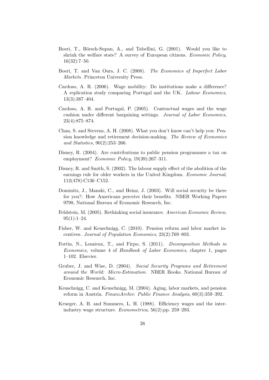- Boeri, T., Börsch-Supan, A., and Tabellini, G. (2001). Would you like to shrink the welfare state? A survey of European citizens. Economic Policy, 16(32):7–50.
- Boeri, T. and Van Ours, J. C. (2008). The Economics of Imperfect Labor Markets. Princeton University Press.
- Cardoso, A. R. (2006). Wage mobility: Do institutions make a difference? A replication study comparing Portugal and the UK. Labour Economics, 13(3):387–404.
- Cardoso, A. R. and Portugal, P. (2005). Contractual wages and the wage cushion under different bargaining settings. Journal of Labor Economics, 23(4):875–874.
- Chan, S. and Stevens, A. H. (2008). What you don't know can't help you: Pension knowledge and retirement decision-making. The Review of Economics and Statistics, 90(2):253–266.
- Disney, R. (2004). Are contributions to public pension programmes a tax on employment? *Economic Policy*, 19(39):267–311.
- Disney, R. and Smith, S. (2002). The labour supply effect of the abolition of the earnings rule for older workers in the United Kingdom. Economic Journal, 112(478):C136–C152.
- Dominitz, J., Manski, C., and Heinz, J. (2003). Will social security be there for you?: How Americans perceive their benefits. NBER Working Papers 9798, National Bureau of Economic Research, Inc.
- Feldstein, M. (2005). Rethinking social insurance. American Economic Review,  $95(1):1-24.$
- Fisher, W. and Keuschnigg, C. (2010). Pension reform and labor market incentives. Journal of Population Economics, 23(2):769–803.
- Fortin, N., Lemieux, T., and Firpo, S. (2011). Decomposition Methods in Economics, volume 4 of Handbook of Labor Economics, chapter 1, pages 1–102. Elsevier.
- Gruber, J. and Wise, D. (2004). Social Security Programs and Retirement around the World: Micro-Estimation. NBER Books. National Bureau of Economic Research, Inc.
- Keuschnigg, C. and Keuschnigg, M. (2004). Aging, labor markets, and pension reform in Austria. FinanzArchiv: Public Finance Analysis, 60(3):359–392.
- Krueger, A. B. and Summers, L. H. (1988). Efficiency wages and the interindustry wage structure. Econometrica, 56(2):pp. 259–293.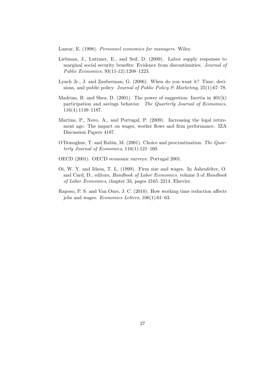Lazear, E. (1998). Personnel economics for managers. Wiley.

- Liebman, J., Luttmer, E., and Seif, D. (2009). Labor supply responses to marginal social security benefits: Evidence from discontinuities. Journal of Public Economics, 93(11-12):1208–1223.
- Lynch Jr., J. and Zauberman, G. (2006). When do you want it? Time, decisions, and public policy. Journal of Public Policy & Marketing, 25(1):67–78.
- Madrian, B. and Shea, D. (2001). The power of suggestion: Inertia in 401(k) participation and savings behavior. The Quarterly Journal of Economics, 116(4):1149–1187.
- Martins, P., Novo, A., and Portugal, P. (2009). Increasing the legal retirement age: The impact on wages, worker flows and firm performance. IZA Discussion Papers 4187.
- O'Donoghue, T. and Rabin, M. (2001). Choice and procrastination. The Quarterly Journal of Economics,  $116(1):121-160$ .
- OECD (2001). OECD economic surveys: Portugal 2001.
- Oi, W. Y. and Idson, T. L. (1999). Firm size and wages. In Ashenfelter, O. and Card, D., editors, Handbook of Labor Economics, volume 3 of Handbook of Labor Economics, chapter 33, pages 2165–2214. Elsevier.
- Raposo, P. S. and Van Ours, J. C. (2010). How working time reduction affects jobs and wages. Economics Letters, 106(1):61–63.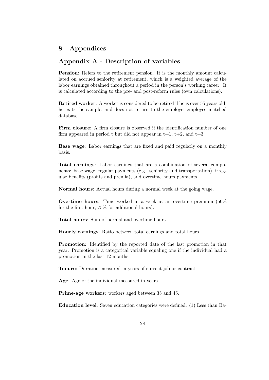#### 8 Appendices

#### Appendix A - Description of variables

Pension: Refers to the retirement pension. It is the monthly amount calculated on accrued seniority at retirement, which is a weighted average of the labor earnings obtained throughout a period in the person's working career. It is calculated according to the pre- and post-reform rules (own calculations).

Retired worker: A worker is considered to be retired if he is over 55 years old, he exits the sample, and does not return to the employer-employee matched database.

Firm closure: A firm closure is observed if the identification number of one firm appeared in period t but did not appear in  $t+1$ ,  $t+2$ , and  $t+3$ .

Base wage: Labor earnings that are fixed and paid regularly on a monthly basis.

Total earnings: Labor earnings that are a combination of several components: base wage, regular payments (e.g., seniority and transportation), irregular benefits (profits and premia), and overtime hours payments.

Normal hours: Actual hours during a normal week at the going wage.

Overtime hours: Time worked in a week at an overtime premium (50% for the first hour, 75% for additional hours).

Total hours: Sum of normal and overtime hours.

Hourly earnings: Ratio between total earnings and total hours.

Promotion: Identified by the reported date of the last promotion in that year. Promotion is a categorical variable equaling one if the individual had a promotion in the last 12 months.

Tenure: Duration measured in years of current job or contract.

Age: Age of the individual measured in years.

Prime-age workers: workers aged between 35 and 45.

Education level: Seven education categories were defined: (1) Less than Ba-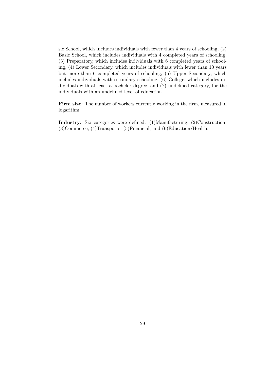sic School, which includes individuals with fewer than 4 years of schooling, (2) Basic School, which includes individuals with 4 completed years of schooling, (3) Preparatory, which includes individuals with 6 completed years of schooling, (4) Lower Secondary, which includes individuals with fewer than 10 years but more than 6 completed years of schooling, (5) Upper Secondary, which includes individuals with secondary schooling, (6) College, which includes individuals with at least a bachelor degree, and (7) undefined category, for the individuals with an undefined level of education.

Firm size: The number of workers currently working in the firm, measured in logarithm.

Industry: Six categories were defined: (1)Manufacturing, (2)Construction, (3)Commerce, (4)Transports, (5)Financial, and (6)Education/Health.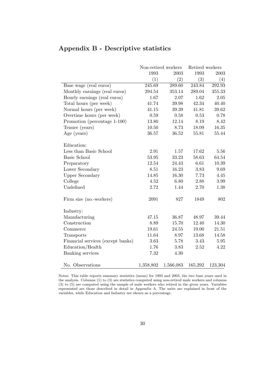|                                   |           | Non-retired workers | Retired workers |           |
|-----------------------------------|-----------|---------------------|-----------------|-----------|
|                                   | 1993      | 2003                | 1993            | 2003      |
|                                   | (1)       | (2)                 | (3)             | (4)       |
| Base wage (real euros)            | 245.69    | 289.60              | 243.84          | 292.93    |
| Monthly earnings (real euros)     | 294.54    | 353.14              | 289.04          | 355.33    |
| Hourly earnings (real euros)      | 1.67      | 2.07                | 1.62            | 2.05      |
| Total hours (per week)            | 41.74     | 39.98               | 42.34           | 40.40     |
| Normal hours (per week)           | 41.15     | 39.39               | 41.81           | $39.62\,$ |
| Overtime hours (per week)         | 0.59      | 0.58                | 0.53            | 0.78      |
| Promotion (percentage 1-100)      | 13.80     | 12.14               | 8.19            | 8.42      |
| Tenure (years)                    | 10.50     | 8.73                | 18.09           | 16.35     |
| Age (years)                       | 36.57     | 36.52               | 55.81           | 55.44     |
| Education:                        |           |                     |                 |           |
| Less than Basic School            | 2.91      | 1.57                | 17.62           | 5.56      |
| <b>Basic School</b>               | 53.95     | 33.23               | 58.63           | 64.54     |
| Preparatory                       | 12.54     | 24.43               | 6.61            | 10.39     |
| Lower Secondary                   | 8.51      | 16.23               | 3.83            | 9.69      |
| <b>Upper Secondary</b>            | 14.85     | 16.30               | 7.73            | 4.45      |
| College                           | 4.52      | 6.80                | 2.88            | 3.99      |
| Undefined                         | 2.72      | 1.44                | 2.70            | 1.38      |
| Firm size (no.-workers)           | 2091      | 827                 | 1849            | 802       |
| Industry:                         |           |                     |                 |           |
| Manufacturing                     | 47.15     | 36.87               | 48.97           | 39.44     |
| Construction                      | 8.89      | 15.70               | 12.40           | 14.30     |
| Commerce                          | 19.61     | 24.55               | 19.00           | 21.51     |
| Transports                        | 11.64     | 8.97                | 13.68           | 14.58     |
| Financial services (except banks) | 3.63      | 5.78                | 3.43            | 5.95      |
| Education/Health                  | 1.76      | 3.83                | 2.52            | 4.22      |
| Banking services                  | 7.32      | 4.30                |                 |           |
| No. Observations                  | 1,358,802 | 1,566,083           | 165,292         | 123,304   |

### Appendix B - Descriptive statistics

Notes: This table reports summary statistics (mean) for 1993 and 2003, the two base years used in the analysis. Columns (1) to (3) are statistics computed using non-retired male workers and columns (3) to (5) are computed using the sample of male workers who retired in the given years. Variables represented are those described in detail in Appendix A. The units are explained in front of the variables, while Education and Industry are shown as a percentage.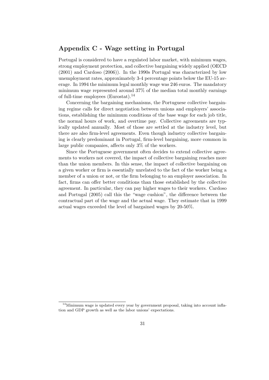#### Appendix C - Wage setting in Portugal

Portugal is considered to have a regulated labor market, with minimum wages, strong employment protection, and collective bargaining widely applied (OECD (2001) and Cardoso (2006)). In the 1990s Portugal was characterized by low unemployment rates, approximately 3-4 percentage points below the EU-15 average. In 1994 the minimum legal monthly wage was 246 euros. The mandatory minimum wage represented around 37% of the median total monthly earnings of full-time employees (Eurostat).<sup>14</sup>

Concerning the bargaining mechanisms, the Portuguese collective bargaining regime calls for direct negotiation between unions and employers' associations, establishing the minimum conditions of the base wage for each job title, the normal hours of work, and overtime pay. Collective agreements are typically updated annually. Most of those are settled at the industry level, but there are also firm-level agreements. Even though industry collective bargaining is clearly predominant in Portugal, firm-level bargaining, more common in large public companies, affects only 3% of the workers.

Since the Portuguese government often decides to extend collective agreements to workers not covered, the impact of collective bargaining reaches more than the union members. In this sense, the impact of collective bargaining on a given worker or firm is essentially unrelated to the fact of the worker being a member of a union or not, or the firm belonging to an employer association. In fact, firms can offer better conditions than those established by the collective agreement. In particular, they can pay higher wages to their workers. Cardoso and Portugal (2005) call this the "wage cushion", the difference between the contractual part of the wage and the actual wage. They estimate that in 1999 actual wages exceeded the level of bargained wages by 20-50%.

<sup>&</sup>lt;sup>14</sup>Minimum wage is updated every year by government proposal, taking into account inflation and GDP growth as well as the labor unions' expectations.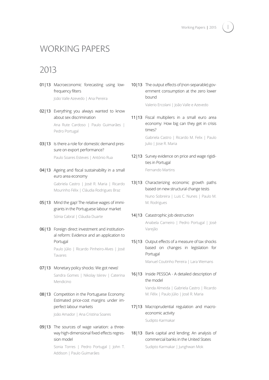## WORKING PAPERS

## 2013

01|13 Macroeconomic forecasting using lowfrequency filters

João Valle Azevedo | Ana Pereira

02|13 Everything you always wanted to know about sex discrimination Ana Rute Cardoso | Paulo Guimarães |

Pedro Portugal

- 03|13 Is there a role for domestic demand pressure on export performance? Paulo Soares Esteves | António Rua
- 04|13 Ageing and fiscal sustainability in a small euro area economy

Gabriela Castro | José R. Maria | Ricardo Mourinho Félix | Cláudia Rodrigues Braz

- 05|13 Mind the gap! The relative wages of immigrants in the Portuguese labour market Sónia Cabral | Cláudia Duarte
- 06|13 Foreign direct investment and institutional reform: Evidence and an application to Portugal

Paulo Júlio | Ricardo Pinheiro-Alves | José Tavares

- 07|13 Monetary policy shocks: We got news! Sandra Gomes | Nikolay Iskrev | Caterina Mendicino
- 08|13 Competition in the Portuguese Economy: Estimated price-cost margins under imperfect labour markets

João Amador | Ana Cristina Soares

09|13 The sources of wage variation: a threeway high-dimensional fixed effects regression model

> Sonia Torres | Pedro Portugal | John T. Addison | Paulo Guimarães

10|13 The output effects of (non-separable) government consumption at the zero lower bound

Valerio Ercolani | João Valle e Azevedo

11|13 Fiscal multipliers in a small euro area economy: How big can they get in crisis times?

Gabriela Castro | Ricardo M. Felix | Paulo Julio | Jose R. Maria

- 12|13 Survey evidence on price and wage rigidities in Portugal Fernando Martins
- 13|13 Characterizing economic growth paths based on new structural change tests Nuno Sobreira | Luis C. Nunes | Paulo M. M. Rodrigues
- 14|13 Catastrophic job destruction Anabela Carneiro | Pedro Portugal | José

Varejão

15|13 Output effects of a measure of tax shocks based on changes in legislation for Portugal

Manuel Coutinho Pereira | Lara Wemans

16|13 Inside PESSOA - A detailed description of the model

> Vanda Almeida | Gabriela Castro | Ricardo M. Félix | Paulo Júlio | José R. Maria

- 17|13 Macroprudential regulation and macroeconomic activity Sudipto Karmakar
- 18|13 Bank capital and lending: An analysis of commercial banks in the United States Sudipto Karmakar | Junghwan Mok

I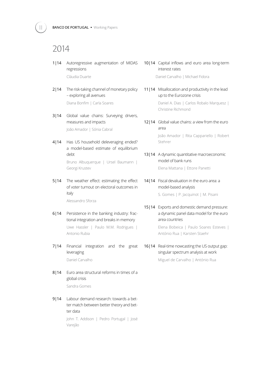## 2014

- 1|14 Autoregressive augmentation of MIDAS regressions Cláudia Duarte
- 2|14 The risk-taking channel of monetary policy – exploring all avenues Diana Bonfim | Carla Soares
- 3|14 Global value chains: Surveying drivers, measures and impacts João Amador | Sónia Cabral
- 4|14 Has US household deleveraging ended? a model-based estimate of equilibrium debt Bruno Albuquerque | Ursel Baumann | Georgi Krustev
- 5|14 The weather effect: estimating the effect of voter turnout on electoral outcomes in italy

Alessandro Sforza

- 6|14 Persistence in the banking industry: fractional integration and breaks in memory Uwe Hassler | Paulo M.M. Rodrigues | Antonio Rubia
- 7|14 Financial integration and the great leveraging Daniel Carvalho
- 8114 Euro area structural reforms in times of a global crisis Sandra Gomes
- 9|14 Labour demand research: towards a better match between better theory and better data John T. Addison | Pedro Portugal | José

Varejão

- 10|14 Capital inflows and euro area long-term interest rates Daniel Carvalho | Michael Fidora
- 11|14 Misallocation and productivity in the lead up to the Eurozone crisis Daniel A. Dias | Carlos Robalo Marquesz | Christine Richmond
- 12|14 Global value chains: a view from the euro area

João Amador | Rita Cappariello | Robert Stehrer

13|14 A dynamic quantitative macroeconomic model of bank runs

Elena Mattana | Ettore Panetti

14|14 Fiscal devaluation in the euro area: a model-based analysis

S. Gomes | P. Jacquinot | M. Pisani

15|14 Exports and domestic demand pressure: a dynamic panel data model for the euro area countries

Elena Bobeica | Paulo Soares Esteves | António Rua | Karsten Staehr

16|14 Real-time nowcasting the US output gap: singular spectrum analysis at work

Miguel de Carvalho | António Rua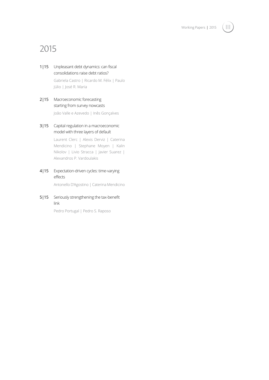

## 2015

1|15 Unpleasant debt dynamics: can fiscal consolidations raise debt ratios? Gabriela Castro | Ricardo M. Félix | Paulo Júlio | José R. Maria

#### 2|15 Macroeconomic forecasting starting from survey nowcasts

João Valle e Azevedo | Inês Gonçalves

3|15 Capital regulation in a macroeconomic model with three layers of default

> Laurent Clerc | Alexis Derviz | Caterina Mendicino | Stephane Moyen | Kalin Nikolov | Livio Stracca | Javier Suarez | Alexandros P. Vardoulakis

4|15 Expectation-driven cycles: time-varying effects

Antonello D'Agostino | Caterina Mendicino

5|15 Seriously strengthening the tax-benefit link

Pedro Portugal | Pedro S. Raposo